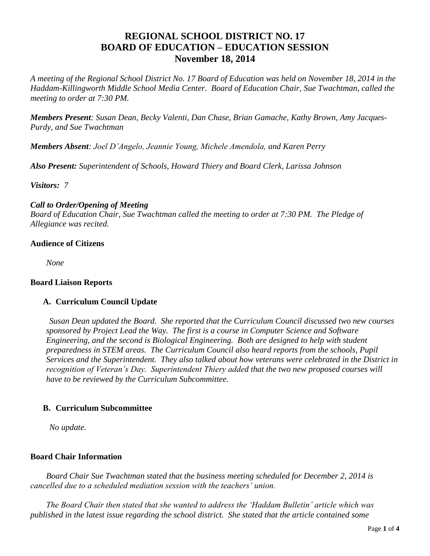# **REGIONAL SCHOOL DISTRICT NO. 17 BOARD OF EDUCATION – EDUCATION SESSION November 18, 2014**

*A meeting of the Regional School District No. 17 Board of Education was held on November 18, 2014 in the Haddam-Killingworth Middle School Media Center. Board of Education Chair, Sue Twachtman, called the meeting to order at 7:30 PM.*

*Members Present: Susan Dean, Becky Valenti, Dan Chase, Brian Gamache, Kathy Brown, Amy Jacques-Purdy, and Sue Twachtman*

*Members Absent: Joel D'Angelo, Jeannie Young, Michele Amendola, and Karen Perry*

*Also Present: Superintendent of Schools, Howard Thiery and Board Clerk, Larissa Johnson*

*Visitors: 7*

## *Call to Order/Opening of Meeting*

*Board of Education Chair, Sue Twachtman called the meeting to order at 7:30 PM. The Pledge of Allegiance was recited.*

## **Audience of Citizens**

*None*

### **Board Liaison Reports**

## **A. Curriculum Council Update**

*Susan Dean updated the Board. She reported that the Curriculum Council discussed two new courses sponsored by Project Lead the Way. The first is a course in Computer Science and Software Engineering, and the second is Biological Engineering. Both are designed to help with student preparedness in STEM areas. The Curriculum Council also heard reports from the schools, Pupil Services and the Superintendent. They also talked about how veterans were celebrated in the District in recognition of Veteran's Day. Superintendent Thiery added that the two new proposed courses will have to be reviewed by the Curriculum Subcommittee.*

### **B. Curriculum Subcommittee**

*No update.*

### **Board Chair Information**

*Board Chair Sue Twachtman stated that the business meeting scheduled for December 2, 2014 is cancelled due to a scheduled mediation session with the teachers' union.*

*The Board Chair then stated that she wanted to address the 'Haddam Bulletin' article which was published in the latest issue regarding the school district. She stated that the article contained some*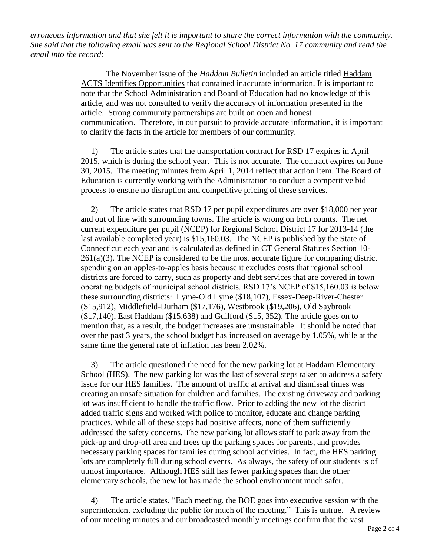*erroneous information and that she felt it is important to share the correct information with the community. She said that the following email was sent to the Regional School District No. 17 community and read the email into the record:*

> The November issue of the *Haddam Bulletin* included an article titled Haddam ACTS Identifies Opportunities that contained inaccurate information. It is important to note that the School Administration and Board of Education had no knowledge of this article, and was not consulted to verify the accuracy of information presented in the article. Strong community partnerships are built on open and honest communication. Therefore, in our pursuit to provide accurate information, it is important to clarify the facts in the article for members of our community.

> 1) The article states that the transportation contract for RSD 17 expires in April 2015, which is during the school year. This is not accurate. The contract expires on June 30, 2015. The meeting minutes from April 1, 2014 reflect that action item. The Board of Education is currently working with the Administration to conduct a competitive bid process to ensure no disruption and competitive pricing of these services.

2) The article states that RSD 17 per pupil expenditures are over \$18,000 per year and out of line with surrounding towns. The article is wrong on both counts. The net current expenditure per pupil (NCEP) for Regional School District 17 for 2013-14 (the last available completed year) is \$15,160.03. The NCEP is published by the State of Connecticut each year and is calculated as defined in CT General Statutes Section 10-  $261(a)(3)$ . The NCEP is considered to be the most accurate figure for comparing district spending on an apples-to-apples basis because it excludes costs that regional school districts are forced to carry, such as property and debt services that are covered in town operating budgets of municipal school districts. RSD 17's NCEP of \$15,160.03 is below these surrounding districts: Lyme-Old Lyme (\$18,107), Essex-Deep-River-Chester (\$15,912), Middlefield-Durham (\$17,176), Westbrook (\$19,206), Old Saybrook (\$17,140), East Haddam (\$15,638) and Guilford (\$15, 352). The article goes on to mention that, as a result, the budget increases are unsustainable. It should be noted that over the past 3 years, the school budget has increased on average by 1.05%, while at the same time the general rate of inflation has been 2.02%.

3) The article questioned the need for the new parking lot at Haddam Elementary School (HES). The new parking lot was the last of several steps taken to address a safety issue for our HES families. The amount of traffic at arrival and dismissal times was creating an unsafe situation for children and families. The existing driveway and parking lot was insufficient to handle the traffic flow. Prior to adding the new lot the district added traffic signs and worked with police to monitor, educate and change parking practices. While all of these steps had positive affects, none of them sufficiently addressed the safety concerns. The new parking lot allows staff to park away from the pick-up and drop-off area and frees up the parking spaces for parents, and provides necessary parking spaces for families during school activities. In fact, the HES parking lots are completely full during school events. As always, the safety of our students is of utmost importance. Although HES still has fewer parking spaces than the other elementary schools, the new lot has made the school environment much safer.

4) The article states, "Each meeting, the BOE goes into executive session with the superintendent excluding the public for much of the meeting." This is untrue. A review of our meeting minutes and our broadcasted monthly meetings confirm that the vast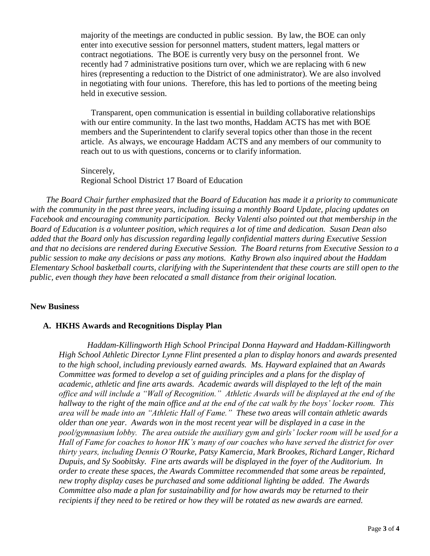majority of the meetings are conducted in public session. By law, the BOE can only enter into executive session for personnel matters, student matters, legal matters or contract negotiations. The BOE is currently very busy on the personnel front. We recently had 7 administrative positions turn over, which we are replacing with 6 new hires (representing a reduction to the District of one administrator). We are also involved in negotiating with four unions. Therefore, this has led to portions of the meeting being held in executive session.

Transparent, open communication is essential in building collaborative relationships with our entire community. In the last two months, Haddam ACTS has met with BOE members and the Superintendent to clarify several topics other than those in the recent article. As always, we encourage Haddam ACTS and any members of our community to reach out to us with questions, concerns or to clarify information.

Sincerely, Regional School District 17 Board of Education

*The Board Chair further emphasized that the Board of Education has made it a priority to communicate with the community in the past three years, including issuing a monthly Board Update, placing updates on Facebook and encouraging community participation. Becky Valenti also pointed out that membership in the Board of Education is a volunteer position, which requires a lot of time and dedication. Susan Dean also added that the Board only has discussion regarding legally confidential matters during Executive Session and that no decisions are rendered during Executive Session. The Board returns from Executive Session to a public session to make any decisions or pass any motions. Kathy Brown also inquired about the Haddam Elementary School basketball courts, clarifying with the Superintendent that these courts are still open to the public, even though they have been relocated a small distance from their original location.*

#### **New Business**

#### **A. HKHS Awards and Recognitions Display Plan**

*Haddam-Killingworth High School Principal Donna Hayward and Haddam-Killingworth High School Athletic Director Lynne Flint presented a plan to display honors and awards presented to the high school, including previously earned awards. Ms. Hayward explained that an Awards Committee was formed to develop a set of guiding principles and a plans for the display of academic, athletic and fine arts awards. Academic awards will displayed to the left of the main office and will include a "Wall of Recognition." Athletic Awards will be displayed at the end of the hallway to the right of the main office and at the end of the cat walk by the boys' locker room. This area will be made into an "Athletic Hall of Fame." These two areas will contain athletic awards older than one year. Awards won in the most recent year will be displayed in a case in the pool/gymnasium lobby. The area outside the auxiliary gym and girls' locker room will be used for a Hall of Fame for coaches to honor HK's many of our coaches who have served the district for over thirty years, including Dennis O'Rourke, Patsy Kamercia, Mark Brookes, Richard Langer, Richard Dupuis, and Sy Soobitsky. Fine arts awards will be displayed in the foyer of the Auditorium. In order to create these spaces, the Awards Committee recommended that some areas be repainted, new trophy display cases be purchased and some additional lighting be added. The Awards Committee also made a plan for sustainability and for how awards may be returned to their recipients if they need to be retired or how they will be rotated as new awards are earned.*